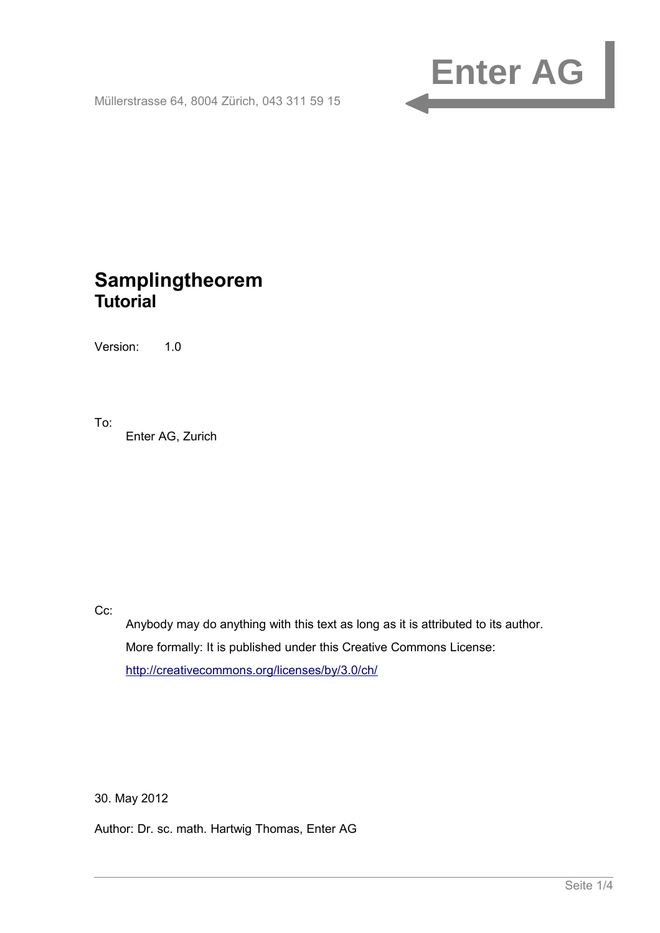

Müllerstrasse 64, 8004 Zürich, 043 311 59 15

# <span id="page-0-1"></span><span id="page-0-0"></span>**Samplingtheorem Tutorial**

Version: 1.0

To:

Enter AG, Zurich

Cc:

Anybody may do anything with this text as long as it is attributed to its author. More formally: It is published under this Creative Commons License: <http://creativecommons.org/licenses/by/3.0/ch/>

30. May 2012

<span id="page-0-2"></span>Author: Dr. sc. math. Hartwig Thomas, Enter AG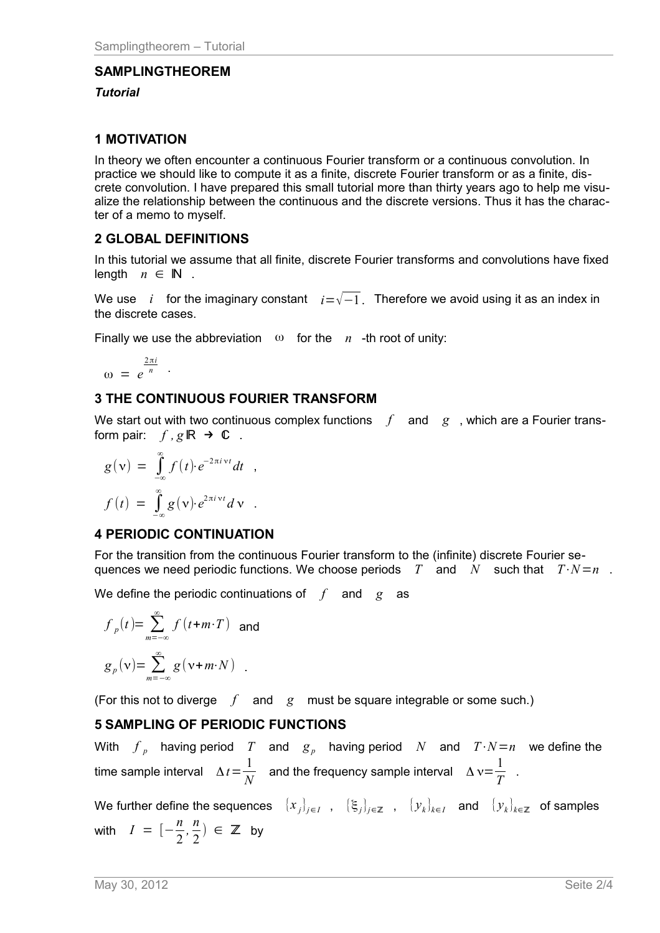### **[SAMPLINGTHEOREM](#page-0-0)**

#### *[Tutorial](#page-0-1)*

## **1 MOTIVATION**

In theory we often encounter a continuous Fourier transform or a continuous convolution. In practice we should like to compute it as a finite, discrete Fourier transform or as a finite, discrete convolution. I have prepared this small tutorial more than thirty years ago to help me visualize the relationship between the continuous and the discrete versions. Thus it has the character of a memo to myself.

## **2 GLOBAL DEFINITIONS**

In this tutorial we assume that all finite, discrete Fourier transforms and convolutions have fixed length  $n \in \mathbb{N}$ .

We use *i* for the imaginary constant *i*=√−1. Therefore we avoid using it as an index in the discrete cases.

Finally we use the abbreviation  $\omega$  for the *n* -th root of unity:

$$
\omega = e^{\frac{2\pi i}{n}}.
$$

# **3 THE CONTINUOUS FOURIER TRANSFORM**

We start out with two continuous complex functions  $f$  and  $g$ , which are a Fourier transform pair:  $f, g \mathbb{R} \rightarrow \mathbb{C}$ .

$$
g(v) = \int_{-\infty}^{\infty} f(t) \cdot e^{-2\pi i vt} dt ,
$$

$$
f(t) = \int_{-\infty}^{\infty} g(v) \cdot e^{2\pi i vt} dv .
$$

# **4 PERIODIC CONTINUATION**

For the transition from the continuous Fourier transform to the (infinite) discrete Fourier sequences we need periodic functions. We choose periods  $T$  and  $N$  such that  $T \cdot N = n$ .

We define the periodic continuations of *f* and *g* as

$$
f_p(t) = \sum_{m=-\infty}^{\infty} f(t+m \cdot T)
$$
 and  

$$
g_p(v) = \sum_{m=-\infty}^{\infty} g(v+m \cdot N)
$$
.

(For this not to diverge *f* and *g* must be square integrable or some such.)

# **5 SAMPLING OF PERIODIC FUNCTIONS**

With  $f_p$  having period  $T$  and  $g_p$  having period  $N$  and  $T \cdot N = n$  we define the time sample interval  $\Delta t = \frac{1}{\Delta t}$ *N* and the frequency sample interval  $\Delta v = \frac{1}{\pi}$  $\frac{1}{T}$ .

We further define the sequences  $\{x_j\}_{j\in I}$  ,  $\{\xi_j\}_{j\in \mathbb{Z}}$  ,  $\{y_k\}_{k\in I}$  and  $\{y_k\}_{k\in \mathbb{Z}}$  of samples with  $I = \left[-\frac{n}{2}\right]$ 2  $\frac{n}{2}$ 2  $) \in \mathbb{Z}$  by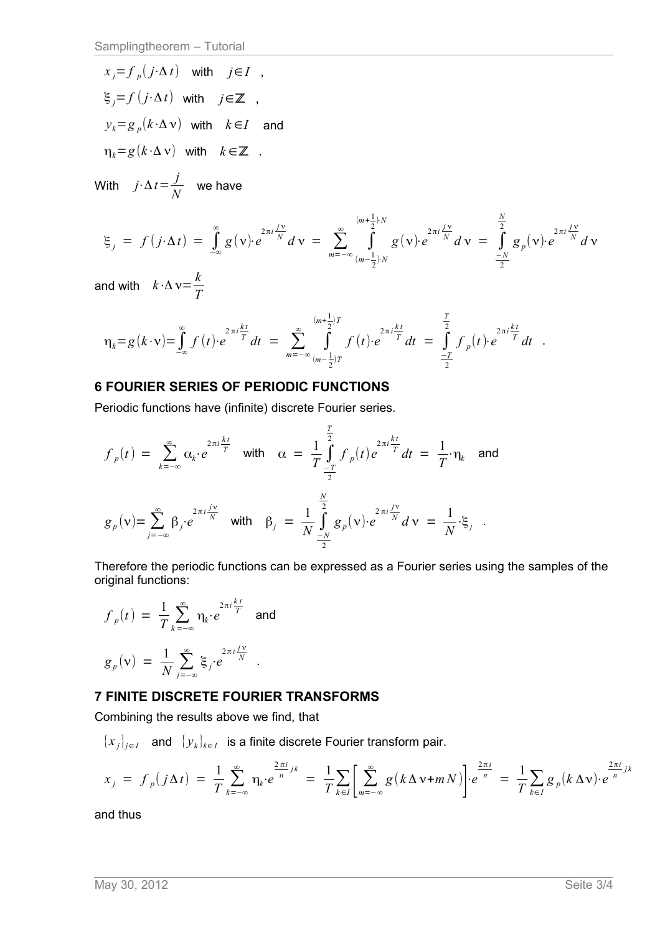$x_j = f_p(j \cdot \Delta t)$  with  $j \in I$  ,  $\xi_j = f(j \cdot \Delta t)$  with  $j \in \mathbb{Z}$  ,  $y_k = g_p(k \cdot \Delta \nu)$  with  $k \in I$  and  $\eta_k = g(k \cdot \Delta \nu)$  with  $k \in \mathbb{Z}$  .

With  $j \cdot \Delta t = \frac{j}{\Delta t}$  $\frac{J}{N}$  we have

$$
\xi_j = f(j \cdot \Delta t) = \int_{-\infty}^{\infty} g(v) \cdot e^{2\pi i \frac{jv}{N}} dv = \sum_{m=-\infty}^{\infty} \int_{(m-\frac{1}{2})^N}^{(m+\frac{1}{2})^N} g(v) \cdot e^{2\pi i \frac{jv}{N}} dv = \int_{-\frac{N}{2}}^{\frac{N}{2}} g_p(v) \cdot e^{2\pi i \frac{jv}{N}} dv
$$

and with  $k \cdot \Delta \nu = \frac{k}{4}$ *T*

$$
\eta_k = g(k \cdot \mathbf{v}) = \int_{-\infty}^{\infty} f(t) \cdot e^{2 \pi i \frac{kt}{T}} dt = \sum_{m = -\infty}^{\infty} \int_{(m - \frac{1}{2})T}^{(m + \frac{1}{2})T} f(t) \cdot e^{2 \pi i \frac{kt}{T}} dt = \int_{-\frac{T}{2}}^{\frac{T}{2}} f_p(t) \cdot e^{2 \pi i \frac{kt}{T}} dt.
$$

### **6 FOURIER SERIES OF PERIODIC FUNCTIONS**

Periodic functions have (infinite) discrete Fourier series.

$$
f_p(t) = \sum_{k=-\infty}^{\infty} \alpha_k \cdot e^{2\pi i \frac{kt}{T}} \text{ with } \alpha = \frac{1}{T} \int_{-\frac{T}{2}}^{\frac{T}{2}} f_p(t) e^{2\pi i \frac{kt}{T}} dt = \frac{1}{T} \cdot \eta_k \text{ and}
$$

$$
g_p(v) = \sum_{j=-\infty}^{\infty} \beta_j \cdot e^{2\pi i \frac{jv}{N}} \text{ with } \beta_j = \frac{1}{N} \int_{-\frac{N}{2}}^{\frac{N}{2}} g_p(v) \cdot e^{2\pi i \frac{jv}{N}} dv = \frac{1}{N} \cdot \xi_j.
$$

Therefore the periodic functions can be expressed as a Fourier series using the samples of the original functions:

$$
f_p(t) = \frac{1}{T} \sum_{k=-\infty}^{\infty} \eta_k \cdot e^{2\pi i \frac{kt}{T}} \text{ and}
$$

$$
g_p(v) = \frac{1}{N} \sum_{j=-\infty}^{\infty} \xi_j \cdot e^{2\pi i \frac{jv}{N}}.
$$

#### **7 FINITE DISCRETE FOURIER TRANSFORMS**

Combining the results above we find, that

 $\{x_j\}_{j\in I}$  and  $\{y_k\}_{k\in I}$  is a finite discrete Fourier transform pair.

$$
x_j = f_p(j\Delta t) = \frac{1}{T} \sum_{k=-\infty}^{\infty} \eta_k \cdot e^{\frac{2\pi i}{n}jk} = \frac{1}{T} \sum_{k \in I} \left[ \sum_{m=-\infty}^{\infty} g(k\Delta \nu + mN) \right] \cdot e^{\frac{2\pi i}{n}} = \frac{1}{T} \sum_{k \in I} g_p(k\Delta \nu) \cdot e^{\frac{2\pi i}{n}jk}
$$

and thus